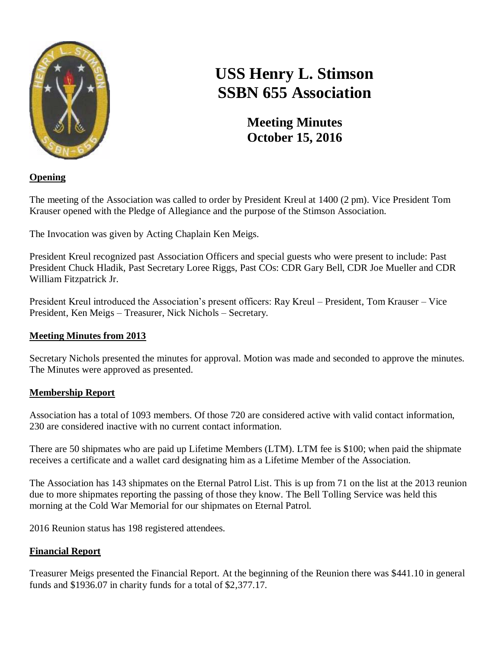

# **USS Henry L. Stimson SSBN 655 Association**

**Meeting Minutes October 15, 2016**

## **Opening**

The meeting of the Association was called to order by President Kreul at 1400 (2 pm). Vice President Tom Krauser opened with the Pledge of Allegiance and the purpose of the Stimson Association.

The Invocation was given by Acting Chaplain Ken Meigs.

President Kreul recognized past Association Officers and special guests who were present to include: Past President Chuck Hladik, Past Secretary Loree Riggs, Past COs: CDR Gary Bell, CDR Joe Mueller and CDR William Fitzpatrick Jr.

President Kreul introduced the Association's present officers: Ray Kreul – President, Tom Krauser – Vice President, Ken Meigs – Treasurer, Nick Nichols – Secretary.

## **Meeting Minutes from 2013**

Secretary Nichols presented the minutes for approval. Motion was made and seconded to approve the minutes. The Minutes were approved as presented.

## **Membership Report**

Association has a total of 1093 members. Of those 720 are considered active with valid contact information, 230 are considered inactive with no current contact information.

There are 50 shipmates who are paid up Lifetime Members (LTM). LTM fee is \$100; when paid the shipmate receives a certificate and a wallet card designating him as a Lifetime Member of the Association.

The Association has 143 shipmates on the Eternal Patrol List. This is up from 71 on the list at the 2013 reunion due to more shipmates reporting the passing of those they know. The Bell Tolling Service was held this morning at the Cold War Memorial for our shipmates on Eternal Patrol.

2016 Reunion status has 198 registered attendees.

# **Financial Report**

Treasurer Meigs presented the Financial Report. At the beginning of the Reunion there was \$441.10 in general funds and \$1936.07 in charity funds for a total of \$2,377.17.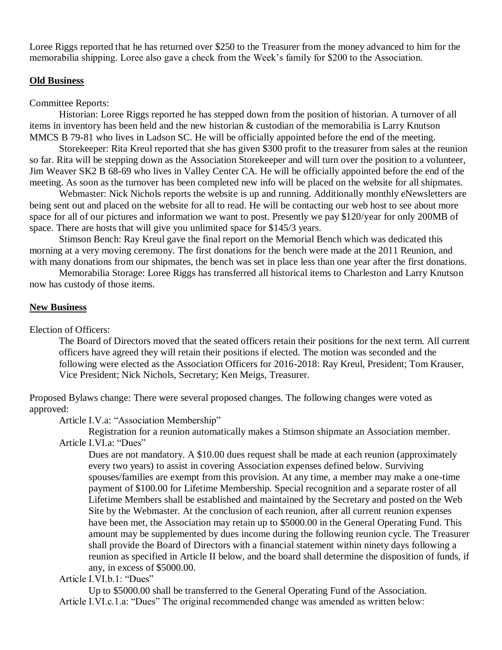Loree Riggs reported that he has returned over \$250 to the Treasurer from the money advanced to him for the memorabilia shipping. Loree also gave a check from the Week's family for \$200 to the Association.

#### **Old Business**

#### Committee Reports:

Historian: Loree Riggs reported he has stepped down from the position of historian. A turnover of all items in inventory has been held and the new historian & custodian of the memorabilia is Larry Knutson MMCS B 79-81 who lives in Ladson SC. He will be officially appointed before the end of the meeting.

Storekeeper: Rita Kreul reported that she has given \$300 profit to the treasurer from sales at the reunion so far. Rita will be stepping down as the Association Storekeeper and will turn over the position to a volunteer, Jim Weaver SK2 B 68-69 who lives in Valley Center CA. He will be officially appointed before the end of the meeting. As soon as the turnover has been completed new info will be placed on the website for all shipmates.

Webmaster: Nick Nichols reports the website is up and running. Additionally monthly eNewsletters are being sent out and placed on the website for all to read. He will be contacting our web host to see about more space for all of our pictures and information we want to post. Presently we pay \$120/year for only 200MB of space. There are hosts that will give you unlimited space for \$145/3 years.

Stimson Bench: Ray Kreul gave the final report on the Memorial Bench which was dedicated this morning at a very moving ceremony. The first donations for the bench were made at the 2011 Reunion, and with many donations from our shipmates, the bench was set in place less than one year after the first donations.

Memorabilia Storage: Loree Riggs has transferred all historical items to Charleston and Larry Knutson now has custody of those items.

#### **New Business**

#### Election of Officers:

The Board of Directors moved that the seated officers retain their positions for the next term. All current officers have agreed they will retain their positions if elected. The motion was seconded and the following were elected as the Association Officers for 2016-2018: Ray Kreul, President; Tom Krauser, Vice President; Nick Nichols, Secretary; Ken Meigs, Treasurer.

Proposed Bylaws change: There were several proposed changes. The following changes were voted as approved:

Article I.V.a: "Association Membership"

Registration for a reunion automatically makes a Stimson shipmate an Association member. Article I.VI.a: "Dues"

Dues are not mandatory. A \$10.00 dues request shall be made at each reunion (approximately every two years) to assist in covering Association expenses defined below. Surviving spouses/families are exempt from this provision. At any time, a member may make a one-time payment of \$100.00 for Lifetime Membership. Special recognition and a separate roster of all Lifetime Members shall be established and maintained by the Secretary and posted on the Web Site by the Webmaster. At the conclusion of each reunion, after all current reunion expenses have been met, the Association may retain up to \$5000.00 in the General Operating Fund. This amount may be supplemented by dues income during the following reunion cycle. The Treasurer shall provide the Board of Directors with a financial statement within ninety days following a reunion as specified in Article II below, and the board shall determine the disposition of funds, if any, in excess of \$5000.00.

Article I.VI.b.1: "Dues"

Up to \$5000.00 shall be transferred to the General Operating Fund of the Association. Article I.VI.c.1.a: "Dues" The original recommended change was amended as written below: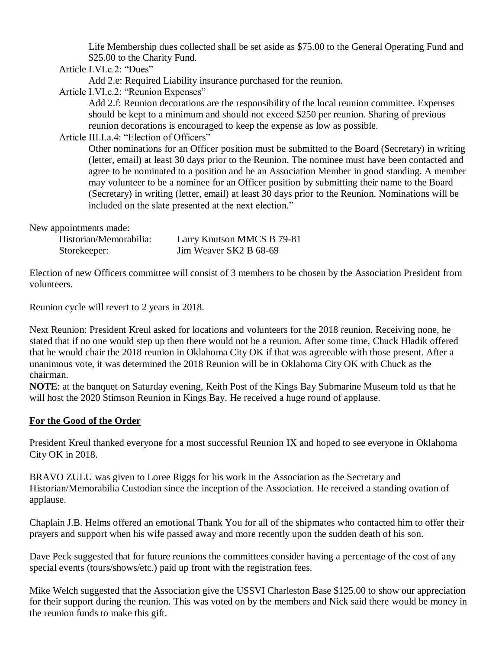Life Membership dues collected shall be set aside as \$75.00 to the General Operating Fund and \$25.00 to the Charity Fund.

Article I.VI.c.2: "Dues"

Add 2.e: Required Liability insurance purchased for the reunion.

Article I.VI.c.2: "Reunion Expenses"

Add 2.f: Reunion decorations are the responsibility of the local reunion committee. Expenses should be kept to a minimum and should not exceed \$250 per reunion. Sharing of previous reunion decorations is encouraged to keep the expense as low as possible.

Article III.I.a.4: "Election of Officers"

Other nominations for an Officer position must be submitted to the Board (Secretary) in writing (letter, email) at least 30 days prior to the Reunion. The nominee must have been contacted and agree to be nominated to a position and be an Association Member in good standing. A member may volunteer to be a nominee for an Officer position by submitting their name to the Board (Secretary) in writing (letter, email) at least 30 days prior to the Reunion. Nominations will be included on the slate presented at the next election."

New appointments made:

| Historian/Memorabilia: | Larry Knutson MMCS B 79-81 |
|------------------------|----------------------------|
| Storekeeper:           | Jim Weaver SK2 B 68-69     |

Election of new Officers committee will consist of 3 members to be chosen by the Association President from volunteers.

Reunion cycle will revert to 2 years in 2018.

Next Reunion: President Kreul asked for locations and volunteers for the 2018 reunion. Receiving none, he stated that if no one would step up then there would not be a reunion. After some time, Chuck Hladik offered that he would chair the 2018 reunion in Oklahoma City OK if that was agreeable with those present. After a unanimous vote, it was determined the 2018 Reunion will be in Oklahoma City OK with Chuck as the chairman.

**NOTE**: at the banquet on Saturday evening, Keith Post of the Kings Bay Submarine Museum told us that he will host the 2020 Stimson Reunion in Kings Bay. He received a huge round of applause.

### **For the Good of the Order**

President Kreul thanked everyone for a most successful Reunion IX and hoped to see everyone in Oklahoma City OK in 2018.

BRAVO ZULU was given to Loree Riggs for his work in the Association as the Secretary and Historian/Memorabilia Custodian since the inception of the Association. He received a standing ovation of applause.

Chaplain J.B. Helms offered an emotional Thank You for all of the shipmates who contacted him to offer their prayers and support when his wife passed away and more recently upon the sudden death of his son.

Dave Peck suggested that for future reunions the committees consider having a percentage of the cost of any special events (tours/shows/etc.) paid up front with the registration fees.

Mike Welch suggested that the Association give the USSVI Charleston Base \$125.00 to show our appreciation for their support during the reunion. This was voted on by the members and Nick said there would be money in the reunion funds to make this gift.